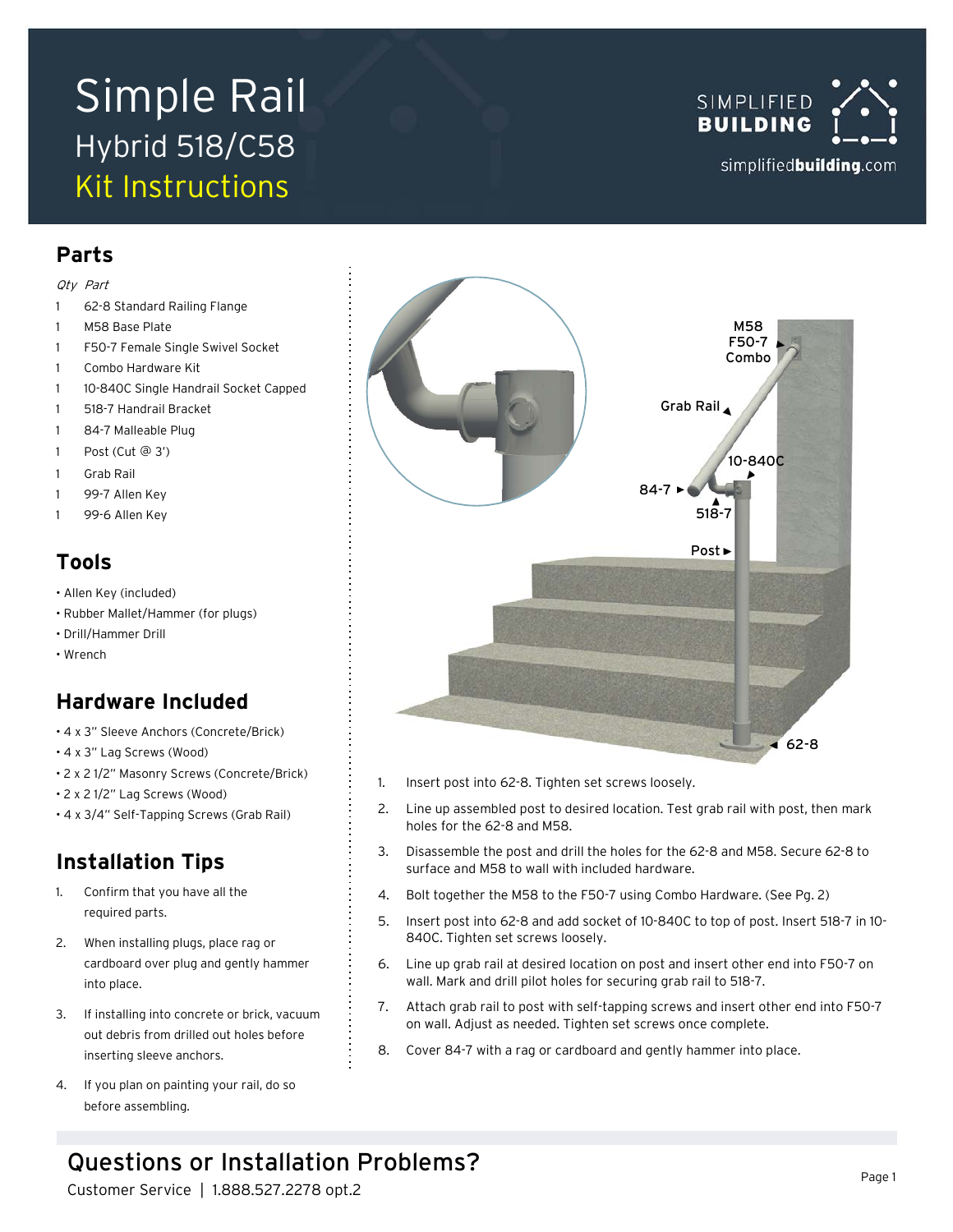# Simple Rail Hybrid 518/C58 Kit Instructions



### **Parts**

#### Qty Part

- 62-8 Standard Railing Flange
- M58 Base Plate
- 1 F50-7 Female Single Swivel Socket
- 1 Combo Hardware Kit
- 1 10-840C Single Handrail Socket Capped
- 1 518-7 Handrail Bracket
- 1 84-7 Malleable Plug
- 1 Post (Cut @ 3')
- 1 Grab Rail
- 1 99-7 Allen Key
- 1 99-6 Allen Key

### **Tools**

- Allen Key (included)
- Rubber Mallet/Hammer (for plugs)
- Drill/Hammer Drill
- Wrench

### **Hardware Included**

- 4 x 3" Sleeve Anchors (Concrete/Brick)
- 4 x 3" Lag Screws (Wood)
- 2 x 2 1/2" Masonry Screws (Concrete/Brick)
- 2 x 2 1/2" Lag Screws (Wood)
- 4 x 3/4" Self-Tapping Screws (Grab Rail)

### **Installation Tips**

- 1. Confirm that you have all the required parts.
- 2. When installing plugs, place rag or cardboard over plug and gently hammer into place.
- 3. If installing into concrete or brick, vacuum out debris from drilled out holes before inserting sleeve anchors.
- 4. If you plan on painting your rail, do so before assembling.



- 1. Insert post into 62-8. Tighten set screws loosely.
- 2. Line up assembled post to desired location. Test grab rail with post, then mark holes for the 62-8 and M58.
- 3. Disassemble the post and drill the holes for the 62-8 and M58. Secure 62-8 to surface and M58 to wall with included hardware.
- 4. Bolt together the M58 to the F50-7 using Combo Hardware. (See Pg. 2)
- 5. Insert post into 62-8 and add socket of 10-840C to top of post. Insert 518-7 in 10- 840C. Tighten set screws loosely.
- 6. Line up grab rail at desired location on post and insert other end into F50-7 on wall. Mark and drill pilot holes for securing grab rail to 518-7.
- 7. Attach grab rail to post with self-tapping screws and insert other end into F50-7 on wall. Adjust as needed. Tighten set screws once complete.
- 8. Cover 84-7 with a rag or cardboard and gently hammer into place.

## Questions or Installation Problems?

Customer Service | 1.888.527.2278 opt.2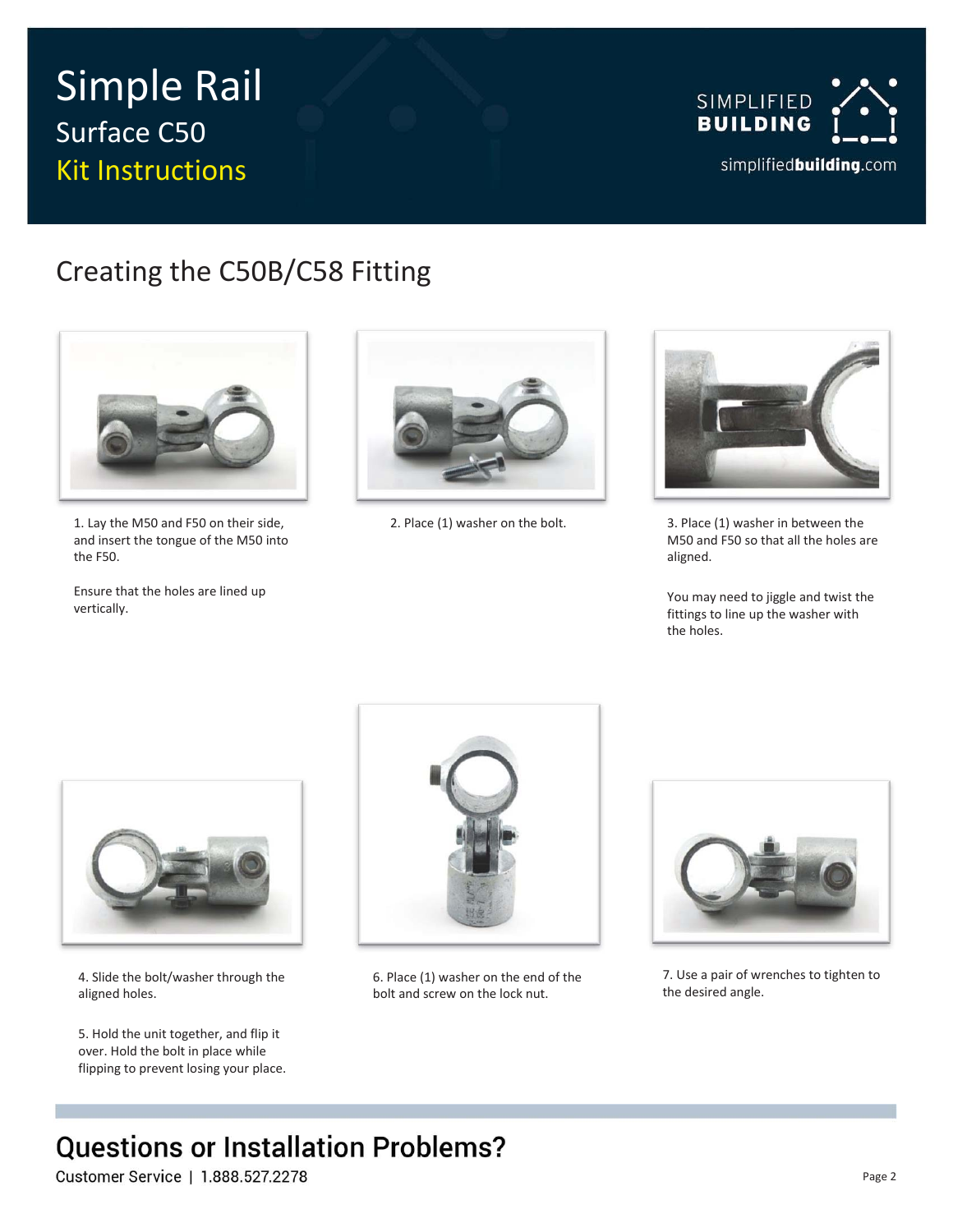# Simple Rail Surface C50 Kit Instructions



## Creating the C50B/C58 Fitting



1. Lay the M50 and F50 on their side, and insert the tongue of the M50 into the F50.

Ensure that the holes are lined up vertically.





2. Place (1) washer on the bolt. 3. Place (1) washer in between the M50 and F50 so that all the holes are aligned.

> You may need to jiggle and twist the fittings to line up the washer with the holes.



4. Slide the bolt/washer through the aligned holes.

5. Hold the unit together, and flip it over. Hold the bolt in place while flipping to prevent losing your place.



6. Place (1) washer on the end of the bolt and screw on the lock nut.



7. Use a pair of wrenches to tighten to the desired angle.

## **Questions or Installation Problems?**

Customer Service | 1.888.527.2278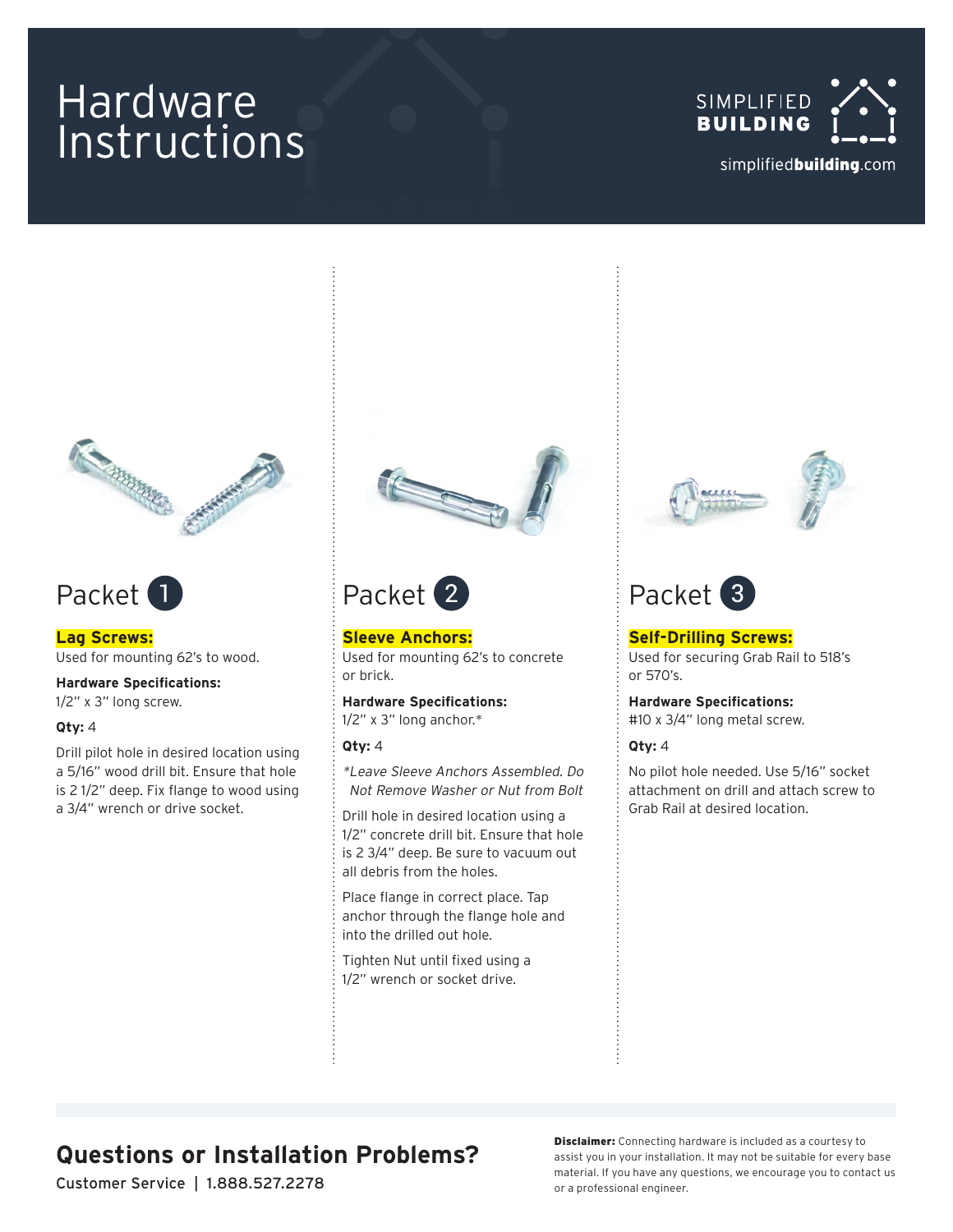# Hardware Instructions





## Packet<sup>1</sup>

**Lag Screws:** Used for mounting 62's to wood.

**Hardware Specifications:** 1/2" x 3" long screw.

#### **Qty:** 4

Drill pilot hole in desired location using a 5/16" wood drill bit. Ensure that hole is 2 1/2" deep. Fix flange to wood using a 3/4" wrench or drive socket.





**Sleeve Anchors:** Used for mounting 62's to concrete or brick.

**Hardware Specifications:** 1/2" x 3" long anchor.\*

#### **Qty:** 4

\*Leave Sleeve Anchors Assembled. Do Not Remove Washer or Nut from Bolt

Drill hole in desired location using a 1/2" concrete drill bit. Ensure that hole is 2 3/4" deep. Be sure to vacuum out all debris from the holes.

Place flange in correct place. Tap anchor through the flange hole and into the drilled out hole.

Tighten Nut until fixed using a 1/2" wrench or socket drive.



## Packet<sup>(3)</sup>

**Self-Drilling Screws:** Used for securing Grab Rail to 518's or 570's.

**Hardware Specifications:**

#10 x 3/4" long metal screw.

#### **Qty:** 4

No pilot hole needed. Use 5/16" socket attachment on drill and attach screw to Grab Rail at desired location.

## **Questions or Installation Problems?**

Customer Service | 1.888.527.2278

**Disclaimer:** Connecting hardware is included as a courtesy to assist you in your installation. It may not be suitable for every base material. If you have any questions, we encourage you to contact us or a professional engineer.